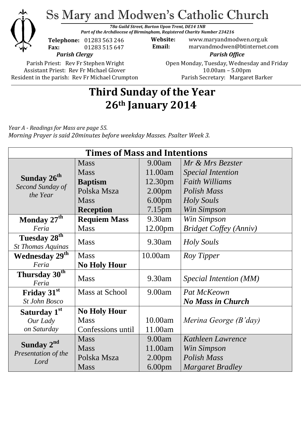

*78a Guild Street, Burton Upon Trent, DE14 1NB Part of the Archdiocese of Birmingham, Registered Charity Number 234216*



*Parish Clergy* **Telephone:** 01283 563 246 **Fax:** 01283 515 647

**Website:** www.maryandmodwen.org.uk **Email:** maryandmodwen@btinternet.com *Parish Office*

Parish Priest: Rev Fr Stephen Wright Assistant Priest: Rev Fr Michael Glover Resident in the parish: Rev Fr Michael Crumpton Open Monday, Tuesday, Wednesday and Friday 10.00am – 5.00pm Parish Secretary:Margaret Barker

## **Third Sunday of the Year 26th January 2014**

*Year A - Readings for Mass are page 55. Morning Prayer is said 20minutes before weekday Masses. Psalter Week 3.*

| <b>Times of Mass and Intentions</b>                     |                     |                    |                               |
|---------------------------------------------------------|---------------------|--------------------|-------------------------------|
| Sunday 26 <sup>th</sup><br>Second Sunday of<br>the Year | <b>Mass</b>         | 9.00am             | Mr & Mrs Bezster              |
|                                                         | <b>Mass</b>         | 11.00am            | <b>Special Intention</b>      |
|                                                         | <b>Baptism</b>      | 12.30pm            | <b>Faith Williams</b>         |
|                                                         | Polska Msza         | 2.00 <sub>pm</sub> | Polish Mass                   |
|                                                         | <b>Mass</b>         | 6.00 <sub>pm</sub> | <b>Holy Souls</b>             |
|                                                         | <b>Reception</b>    | 7.15pm             | Win Simpson                   |
| Monday 27 <sup>th</sup>                                 | <b>Requiem Mass</b> | 9.30am             | Win Simpson                   |
| Feria                                                   | <b>Mass</b>         | 12.00pm            | <b>Bridget Coffey (Anniv)</b> |
| Tuesday 28 <sup>th</sup>                                | <b>Mass</b>         | 9.30am             | Holy Souls                    |
| <b>St Thomas Aquinas</b>                                |                     |                    |                               |
| Wednesday 29 <sup>th</sup>                              | <b>Mass</b>         | 10.00am            | Roy Tipper                    |
| Feria                                                   | <b>No Holy Hour</b> |                    |                               |
| Thursday 30 <sup>th</sup><br>Feria                      | <b>Mass</b>         | 9.30am             | Special Intention (MM)        |
| Friday 31 <sup>st</sup>                                 | Mass at School      | 9.00am             | Pat McKeown                   |
| <b>St John Bosco</b>                                    |                     |                    | <b>No Mass in Church</b>      |
| Saturday 1 <sup>st</sup>                                | <b>No Holy Hour</b> |                    |                               |
| Our Lady                                                | <b>Mass</b>         | 10.00am            | Merina George (B'day)         |
| on Saturday                                             | Confessions until   | 11.00am            |                               |
| Sunday $2^{nd}$<br>Presentation of the<br>Lord          | <b>Mass</b>         | 9.00am             | Kathleen Lawrence             |
|                                                         | <b>Mass</b>         | 11.00am            | Win Simpson                   |
|                                                         | Polska Msza         | 2.00 <sub>pm</sub> | <b>Polish Mass</b>            |
|                                                         | <b>Mass</b>         | 6.00 <sub>pm</sub> | <b>Margaret Bradley</b>       |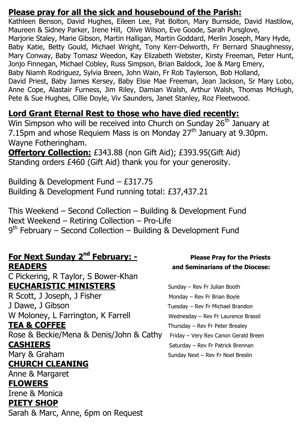### **Please pray for all the sick and housebound of the Parish:**

Kathleen Benson, David Hughes, Eileen Lee, Pat Bolton, Mary Burnside, David Hastilow, Maureen & Sidney Parker, Irene Hill, Olive Wilson, Eve Goode, Sarah Pursglove, Marjorie Staley, Marie Gibson, Martin Halligan, Martin Goddard, Merlin Joseph, Mary Hyde, Baby Katie, Betty Gould, Michael Wright, Tony Kerr-Delworth, Fr Bernard Shaughnessy, Mary Conway, Baby Tomasz Weedon, Kay Elizabeth Webster, Kirsty Freeman, Peter Hunt, Jonjo Finnegan, Michael Cobley, Russ Simpson, Brian Baldock, Joe & Marg Emery, Baby Niamh Rodriguez, Sylvia Breen, John Wain, Fr Rob Taylerson, Bob Holland, David Priest, Baby James Kersey, Baby Elsie Mae Freeman, Jean Jackson, Sr Mary Lobo, Anne Cope, Alastair Furness, Jim Riley, Damian Walsh, Arthur Walsh, Thomas McHugh, Pete & Sue Hughes, Cillie Doyle, Viv Saunders, Janet Stanley, Roz Fleetwood.

### **Lord Grant Eternal Rest to those who have died recently:**

Win Simpson who will be received into Church on Sunday 26<sup>th</sup> January at 7.15pm and whose Requiem Mass is on Monday  $27<sup>th</sup>$  January at 9.30pm. Wayne Fotheringham.

**Offertory Collection:** £343.88 (non Gift Aid); £393.95(Gift Aid) Standing orders £460 (Gift Aid) thank you for your generosity.

Building & Development Fund – £317.75 Building & Development Fund running total: £37,437.21

This Weekend – Second Collection – Building & Development Fund Next Weekend – Retiring Collection – Pro-Life 9<sup>th</sup> February – Second Collection – Building & Development Fund

### **For Next Sunday 2<sup>nd</sup> February: -READERS and Seminarians of the Diocese:**

C Pickering, R Taylor, S Bower-Khan **EUCHARISTIC MINISTERS** Sunday – Rev Fr Julian Booth

R Scott, J Joseph, J Fisher Monday – Rev Fr Brian Boyle J Dawe, J Gibson **Tuesday – Rev Fr Michael Brandon** W Moloney, L Farrington, K Farrell Wednesday – Rev Fr Laurence Brassil

Rose & Beckie/Mena & Denis/John & Cathy Friday – Very Rev Canon Gerald Breen **CASHIERS** Saturday – Rev Fr Patrick Brennan Mary & Graham Sunday Next – Rev Fr Noel Breslin

### **CHURCH CLEANING**

Anne & Margaret

### **FLOWERS**

Irene & Monica

### **PIETY SHOP**

Sarah & Marc, Anne, 6pm on Request

# **Please Pray for the Priests**

**TEA & COFFEE** Thursday – Rev Fr Peter Brealey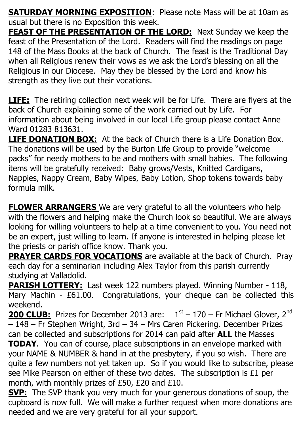**SATURDAY MORNING EXPOSITION:** Please note Mass will be at 10am as usual but there is no Exposition this week.

**FEAST OF THE PRESENTATION OF THE LORD:** Next Sunday we keep the feast of the Presentation of the Lord. Readers will find the readings on page 148 of the Mass Books at the back of Church. The feast is the Traditional Day when all Religious renew their vows as we ask the Lord's blessing on all the Religious in our Diocese. May they be blessed by the Lord and know his strength as they live out their vocations.

**LIFE:** The retiring collection next week will be for Life. There are flyers at the back of Church explaining some of the work carried out by Life. For information about being involved in our local Life group please contact Anne Ward 01283 813631.

**LIFE DONATION BOX:** At the back of Church there is a Life Donation Box. The donations will be used by the Burton Life Group to provide "welcome packs" for needy mothers to be and mothers with small babies. The following items will be gratefully received: Baby grows/Vests, Knitted Cardigans, Nappies, Nappy Cream, Baby Wipes, Baby Lotion, Shop tokens towards baby formula milk.

**FLOWER ARRANGERS** We are very grateful to all the volunteers who help with the flowers and helping make the Church look so beautiful. We are always looking for willing volunteers to help at a time convenient to you. You need not be an expert, just willing to learn. If anyone is interested in helping please let the priests or parish office know. Thank you.

**PRAYER CARDS FOR VOCATIONS** are available at the back of Church. Pray each day for a seminarian including Alex Taylor from this parish currently studying at Valladolid.

**PARISH LOTTERY:** Last week 122 numbers played. Winning Number - 118, Mary Machin - £61.00. Congratulations, your cheque can be collected this weekend.

**200 CLUB:** Prizes for December 2013 are:  $1<sup>st</sup> - 170$  – Fr Michael Glover, 2<sup>nd</sup> – 148 – Fr Stephen Wright, 3rd – 34 – Mrs Caren Pickering. December Prizes can be collected and subscriptions for 2014 can paid after **ALL** the Masses **TODAY**. You can of course, place subscriptions in an envelope marked with your NAME & NUMBER & hand in at the presbytery, if you so wish. There are quite a few numbers not yet taken up. So if you would like to subscribe, please see Mike Pearson on either of these two dates. The subscription is £1 per month, with monthly prizes of £50, £20 and £10.

**SVP:** The SVP thank you very much for your generous donations of soup, the cupboard is now full. We will make a further request when more donations are needed and we are very grateful for all your support.